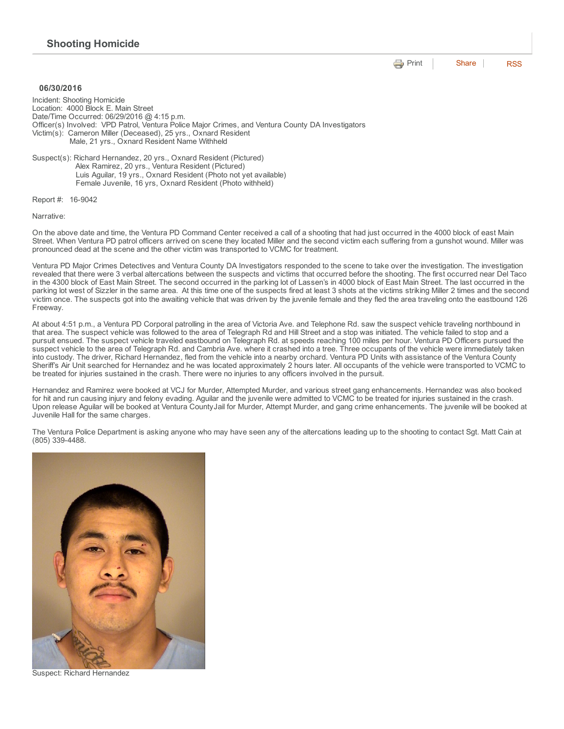## 06/30/2016

Incident: Shooting Homicide Location: 4000 Block E. Main Street Date/Time Occurred: 06/29/2016 @ 4:15 p.m. Officer(s) Involved: VPD Patrol, Ventura Police Major Crimes, and Ventura County DA Investigators Victim(s): Cameron Miller (Deceased), 25 yrs., Oxnard Resident Male, 21 yrs., Oxnard Resident Name Withheld

Suspect(s): Richard Hernandez, 20 yrs., Oxnard Resident (Pictured) Alex Ramirez, 20 yrs., Ventura Resident (Pictured) Luis Aguilar, 19 yrs., Oxnard Resident (Photo not yet available) Female Juvenile, 16 yrs, Oxnard Resident (Photo withheld)

Report #: 16-9042

Narrative:

On the above date and time, the Ventura PD Command Center received a call of a shooting that had just occurred in the 4000 block of east Main Street. When Ventura PD patrol officers arrived on scene they located Miller and the second victim each suffering from a gunshot wound. Miller was pronounced dead at the scene and the other victim was transported to VCMC for treatment.

Ventura PD Major Crimes Detectives and Ventura County DA Investigators responded to the scene to take over the investigation. The investigation revealed that there were 3 verbal altercations between the suspects and victims that occurred before the shooting. The first occurred near Del Taco in the 4300 block of East Main Street. The second occurred in the parking lot of Lassen's in 4000 block of East Main Street. The last occurred in the parking lot west of Sizzler in the same area. At this time one of the suspects fired at least 3 shots at the victims striking Miller 2 times and the second victim once. The suspects got into the awaiting vehicle that was driven by the juvenile female and they fled the area traveling onto the eastbound 126 Freeway.

At about 4:51 p.m., a Ventura PD Corporal patrolling in the area of Victoria Ave. and Telephone Rd. saw the suspect vehicle traveling northbound in that area. The suspect vehicle was followed to the area of Telegraph Rd and Hill Street and a stop was initiated. The vehicle failed to stop and a pursuit ensued. The suspect vehicle traveled eastbound on Telegraph Rd. at speeds reaching 100 miles per hour. Ventura PD Officers pursued the suspect vehicle to the area of Telegraph Rd. and Cambria Ave. where it crashed into a tree. Three occupants of the vehicle were immediately taken into custody. The driver, Richard Hernandez, fled from the vehicle into a nearby orchard. Ventura PD Units with assistance of the Ventura County Sheriff's Air Unit searched for Hernandez and he was located approximately 2 hours later. All occupants of the vehicle were transported to VCMC to be treated for injuries sustained in the crash. There were no injuries to any officers involved in the pursuit.

Hernandez and Ramirez were booked at VCJ for Murder, Attempted Murder, and various street gang enhancements. Hernandez was also booked for hit and run causing injury and felony evading. Aguilar and the juvenile were admitted to VCMC to be treated for injuries sustained in the crash. Upon release Aguilar will be booked at Ventura CountyJail for Murder, Attempt Murder, and gang crime enhancements. The juvenile will be booked at Juvenile Hall for the same charges.

The Ventura Police Department is asking anyone who may have seen any of the altercations leading up to the shooting to contact Sgt. Matt Cain at (805) 3394488.



Suspect: Richard Hernandez